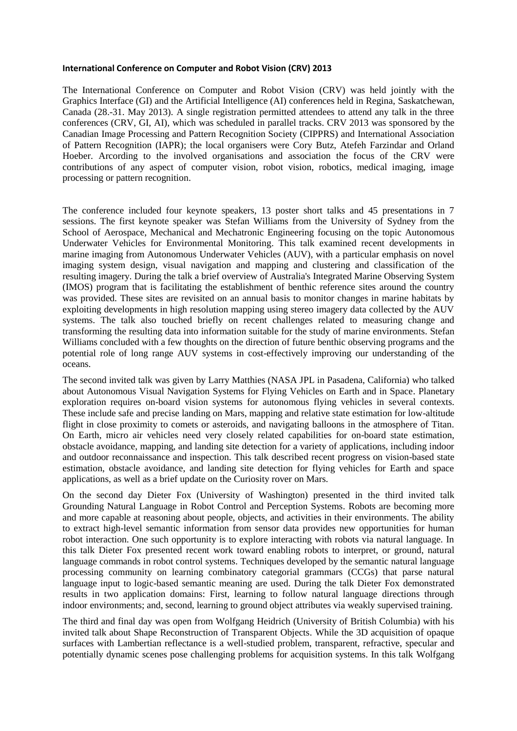## **International Conference on Computer and Robot Vision (CRV) 2013**

The International Conference on Computer and Robot Vision (CRV) was held jointly with the Graphics Interface (GI) and the Artificial Intelligence (AI) conferences held in Regina, Saskatchewan, Canada (28.-31. May 2013). A single registration permitted attendees to attend any talk in the three conferences (CRV, GI, AI), which was scheduled in parallel tracks. CRV 2013 was sponsored by the [Canadian Image Processing and Pattern Recognition Society \(](http://www.cipprs.org/)CIPPRS) and International Association of Pattern Recognition (IAPR); the local organisers were Cory Butz, Atefeh Farzindar and Orland Hoeber. Arcording to the involved organisations and association the focus of the CRV were contributions of any aspect of computer vision, robot vision, robotics, medical imaging, image processing or pattern recognition.

The conference included four keynote speakers, 13 poster short talks and 45 presentations in 7 sessions. The first keynote speaker was Stefan Williams from the University of Sydney from the School of Aerospace, Mechanical and Mechatronic Engineering focusing on the topic Autonomous Underwater Vehicles for Environmental Monitoring. This talk examined recent developments in marine imaging from Autonomous Underwater Vehicles (AUV), with a particular emphasis on novel imaging system design, visual navigation and mapping and clustering and classification of the resulting imagery. During the talk a brief overview of Australia's Integrated Marine Observing System (IMOS) program that is facilitating the establishment of benthic reference sites around the country was provided. These sites are revisited on an annual basis to monitor changes in marine habitats by exploiting developments in high resolution mapping using stereo imagery data collected by the AUV systems. The talk also touched briefly on recent challenges related to measuring change and transforming the resulting data into information suitable for the study of marine environments. Stefan Williams concluded with a few thoughts on the direction of future benthic observing programs and the potential role of long range AUV systems in cost-effectively improving our understanding of the oceans.

The second invited talk was given by Larry Matthies (NASA JPL in Pasadena, California) who talked about Autonomous Visual Navigation Systems for Flying Vehicles on Earth and in Space. Planetary exploration requires on-board vision systems for autonomous flying vehicles in several contexts. These include safe and precise landing on Mars, mapping and relative state estimation for low-altitude flight in close proximity to comets or asteroids, and navigating balloons in the atmosphere of Titan. On Earth, micro air vehicles need very closely related capabilities for on-board state estimation, obstacle avoidance, mapping, and landing site detection for a variety of applications, including indoor and outdoor reconnaissance and inspection. This talk described recent progress on vision-based state estimation, obstacle avoidance, and landing site detection for flying vehicles for Earth and space applications, as well as a brief update on the Curiosity rover on Mars.

On the second day Dieter Fox (University of Washington) presented in the third invited talk Grounding Natural Language in Robot Control and Perception Systems. Robots are becoming more and more capable at reasoning about people, objects, and activities in their environments. The ability to extract high-level semantic information from sensor data provides new opportunities for human robot interaction. One such opportunity is to explore interacting with robots via natural language. In this talk Dieter Fox presented recent work toward enabling robots to interpret, or ground, natural language commands in robot control systems. Techniques developed by the semantic natural language processing community on learning combinatory categorial grammars (CCGs) that parse natural language input to logic-based semantic meaning are used. During the talk Dieter Fox demonstrated results in two application domains: First, learning to follow natural language directions through indoor environments; and, second, learning to ground object attributes via weakly supervised training.

The third and final day was open from Wolfgang Heidrich (University of British Columbia) with his invited talk about Shape Reconstruction of Transparent Objects. While the 3D acquisition of opaque surfaces with Lambertian reflectance is a well-studied problem, transparent, refractive, specular and potentially dynamic scenes pose challenging problems for acquisition systems. In this talk Wolfgang